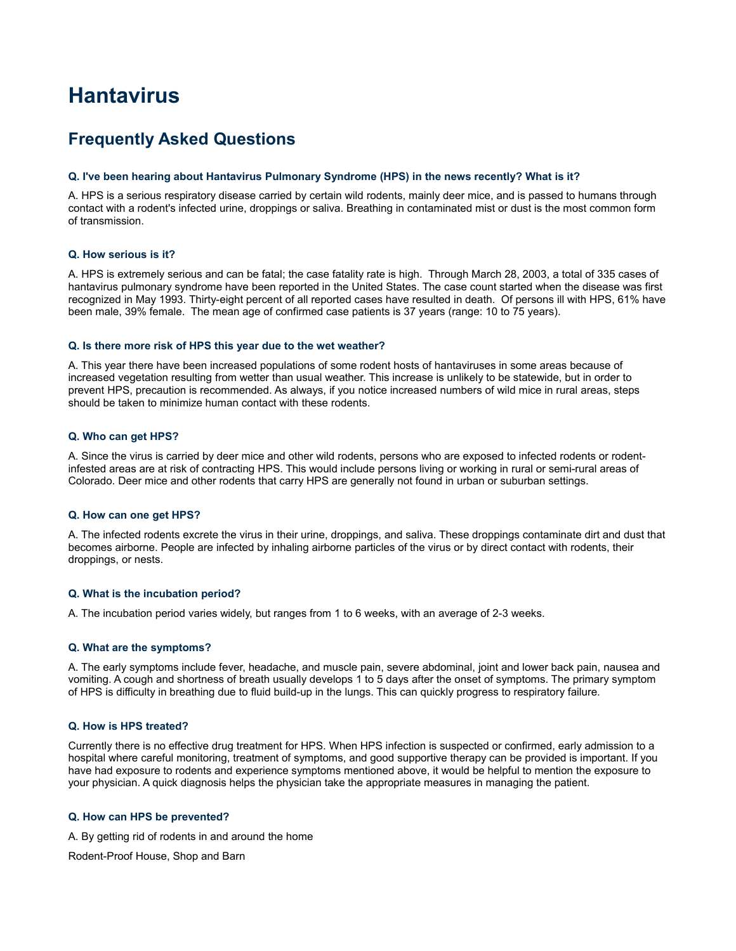# **Hantavirus**

# **Frequently Asked Questions**

#### **Q. I've been hearing about Hantavirus Pulmonary Syndrome (HPS) in the news recently? What is it?**

A. HPS is a serious respiratory disease carried by certain wild rodents, mainly deer mice, and is passed to humans through contact with a rodent's infected urine, droppings or saliva. Breathing in contaminated mist or dust is the most common form of transmission.

#### **Q. How serious is it?**

A. HPS is extremely serious and can be fatal; the case fatality rate is high. Through March 28, 2003, a total of 335 cases of hantavirus pulmonary syndrome have been reported in the United States. The case count started when the disease was first recognized in May 1993. Thirty-eight percent of all reported cases have resulted in death. Of persons ill with HPS, 61% have been male, 39% female. The mean age of confirmed case patients is 37 years (range: 10 to 75 years).

#### **Q. Is there more risk of HPS this year due to the wet weather?**

A. This year there have been increased populations of some rodent hosts of hantaviruses in some areas because of increased vegetation resulting from wetter than usual weather. This increase is unlikely to be statewide, but in order to prevent HPS, precaution is recommended. As always, if you notice increased numbers of wild mice in rural areas, steps should be taken to minimize human contact with these rodents.

### **Q. Who can get HPS?**

A. Since the virus is carried by deer mice and other wild rodents, persons who are exposed to infected rodents or rodentinfested areas are at risk of contracting HPS. This would include persons living or working in rural or semi-rural areas of Colorado. Deer mice and other rodents that carry HPS are generally not found in urban or suburban settings.

#### **Q. How can one get HPS?**

A. The infected rodents excrete the virus in their urine, droppings, and saliva. These droppings contaminate dirt and dust that becomes airborne. People are infected by inhaling airborne particles of the virus or by direct contact with rodents, their droppings, or nests.

### **Q. What is the incubation period?**

A. The incubation period varies widely, but ranges from 1 to 6 weeks, with an average of 2-3 weeks.

### **Q. What are the symptoms?**

A. The early symptoms include fever, headache, and muscle pain, severe abdominal, joint and lower back pain, nausea and vomiting. A cough and shortness of breath usually develops 1 to 5 days after the onset of symptoms. The primary symptom of HPS is difficulty in breathing due to fluid build-up in the lungs. This can quickly progress to respiratory failure.

## **Q. How is HPS treated?**

Currently there is no effective drug treatment for HPS. When HPS infection is suspected or confirmed, early admission to a hospital where careful monitoring, treatment of symptoms, and good supportive therapy can be provided is important. If you have had exposure to rodents and experience symptoms mentioned above, it would be helpful to mention the exposure to your physician. A quick diagnosis helps the physician take the appropriate measures in managing the patient.

### **Q. How can HPS be prevented?**

A. By getting rid of rodents in and around the home

Rodent-Proof House, Shop and Barn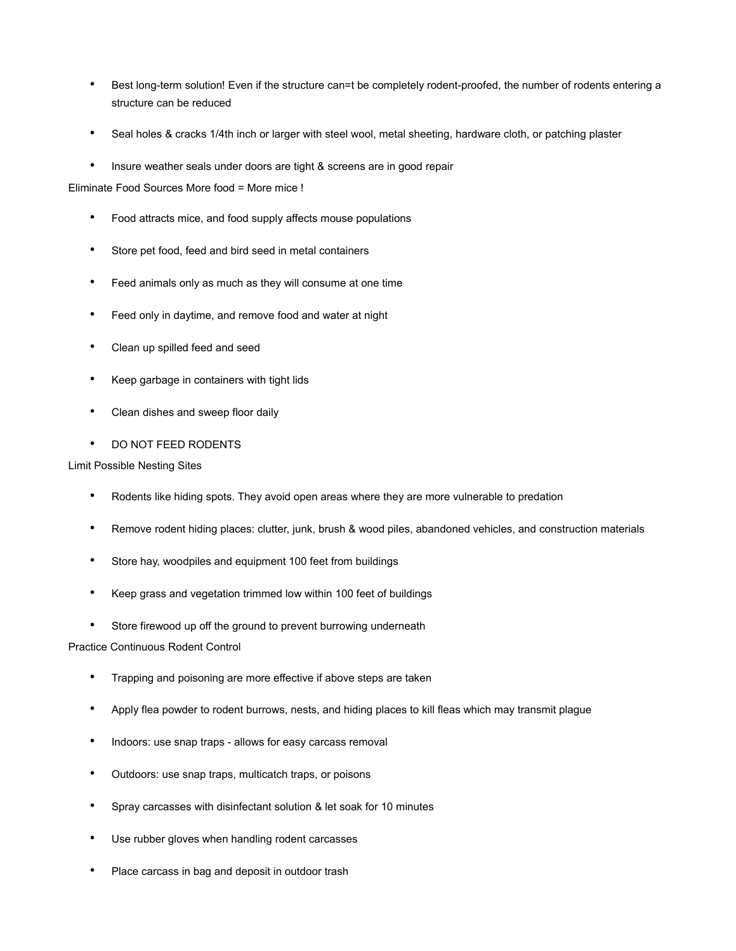- Best long-term solution! Even if the structure can=t be completely rodent-proofed, the number of rodents entering a structure can be reduced
- Seal holes & cracks 1/4th inch or larger with steel wool, metal sheeting, hardware cloth, or patching plaster
- Insure weather seals under doors are tight & screens are in good repair

Eliminate Food Sources More food = More mice !

- Food attracts mice, and food supply affects mouse populations
- Store pet food, feed and bird seed in metal containers
- Feed animals only as much as they will consume at one time
- Feed only in daytime, and remove food and water at night
- Clean up spilled feed and seed
- Keep garbage in containers with tight lids
- Clean dishes and sweep floor daily
- DO NOT FEED RODENTS

### Limit Possible Nesting Sites

- Rodents like hiding spots. They avoid open areas where they are more vulnerable to predation
- Remove rodent hiding places: clutter, junk, brush & wood piles, abandoned vehicles, and construction materials
- Store hay, woodpiles and equipment 100 feet from buildings
- Keep grass and vegetation trimmed low within 100 feet of buildings
- Store firewood up off the ground to prevent burrowing underneath

# Practice Continuous Rodent Control

- Trapping and poisoning are more effective if above steps are taken
- Apply flea powder to rodent burrows, nests, and hiding places to kill fleas which may transmit plague
- Indoors: use snap traps allows for easy carcass removal
- Outdoors: use snap traps, multicatch traps, or poisons
- Spray carcasses with disinfectant solution & let soak for 10 minutes
- Use rubber gloves when handling rodent carcasses
- Place carcass in bag and deposit in outdoor trash